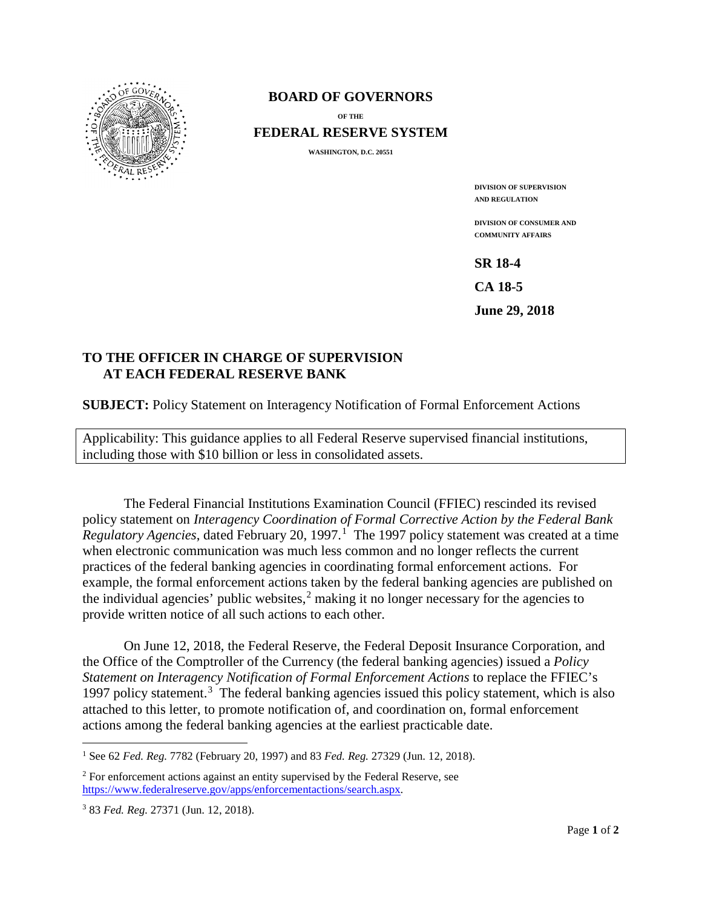

#### **BOARD OF GOVERNORS**

**OF THE**

**FEDERAL RESERVE SYSTEM**

**WASHINGTON, D.C. 20551**

**DIVISION OF SUPERVISION AND REGULATION**

**DIVISION OF CONSUMER AND COMMUNITY AFFAIRS**

**SR 18-4** 

**CA 18-5** 

**June 29, 2018** 

#### **TO THE OFFICER IN CHARGE OF SUPERVISION AT EACH FEDERAL RESERVE BANK**

**SUBJECT:** Policy Statement on Interagency Notification of Formal Enforcement Actions

Applicability: This guidance applies to all Federal Reserve supervised financial institutions, including those with \$10 billion or less in consolidated assets.

The Federal Financial Institutions Examination Council (FFIEC) rescinded its revised policy statement on *Interagency Coordination of Formal Corrective Action by the Federal Bank*  Regulatory Agencies, dated February 20, [1](#page-0-0)997.<sup>1</sup> The 1997 policy statement was created at a time when electronic communication was much less common and no longer reflects the current practices of the federal banking agencies in coordinating formal enforcement actions. For example, the formal enforcement actions taken by the federal banking agencies are published on the individual agencies' public websites, $2$  making it no longer necessary for the agencies to provide written notice of all such actions to each other.

On June 12, 2018, the Federal Reserve, the Federal Deposit Insurance Corporation, and the Office of the Comptroller of the Currency (the federal banking agencies) issued a *Policy Statement on Interagency Notification of Formal Enforcement Actions* to replace the FFIEC's 1997 policy statement.<sup>[3](#page-0-2)</sup> The federal banking agencies issued this policy statement, which is also attached to this letter, to promote notification of, and coordination on, formal enforcement actions among the federal banking agencies at the earliest practicable date.

 $\overline{a}$ 

<span id="page-0-0"></span><sup>1</sup> See 62 *Fed. Reg.* 7782 (February 20, 1997) and 83 *Fed. Reg.* 27329 (Jun. 12, 2018).

<span id="page-0-1"></span><sup>&</sup>lt;sup>2</sup> For enforcement actions against an entity supervised by the Federal Reserve, see [https://www.federalreserve.gov/apps/enforcementactions/search.aspx.](https://www.federalreserve.gov/apps/enforcementactions/search.aspx) 

<span id="page-0-2"></span><sup>3</sup> 83 *Fed. Reg.* 27371 (Jun. 12, 2018).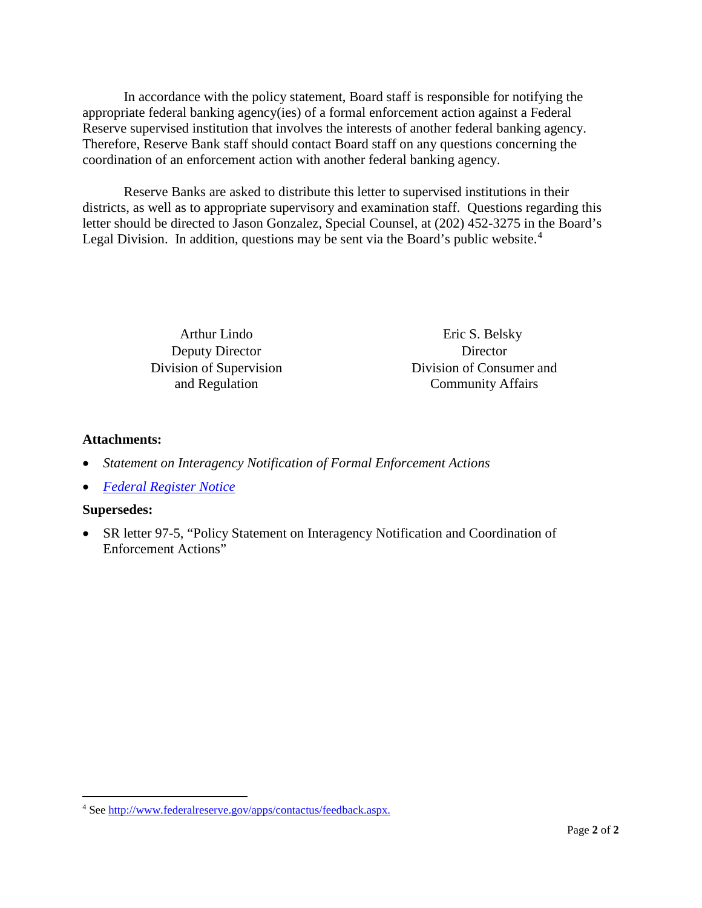In accordance with the policy statement, Board staff is responsible for notifying the appropriate federal banking agency(ies) of a formal enforcement action against a Federal Reserve supervised institution that involves the interests of another federal banking agency. Therefore, Reserve Bank staff should contact Board staff on any questions concerning the coordination of an enforcement action with another federal banking agency.

Reserve Banks are asked to distribute this letter to supervised institutions in their districts, as well as to appropriate supervisory and examination staff. Questions regarding this letter should be directed to Jason Gonzalez, Special Counsel, at (202) 452-3275 in the Board's Legal Division. In addition, questions may be sent via the Board's public website. $4$ 

Deputy Director Director

Arthur Lindo Eric S. Belsky Division of Supervision Division of Consumer and and Regulation Community Affairs

## **Attachments:**

- *Statement on Interagency Notification of Formal Enforcement Actions*
- *[Federal Register Notice](https://www.gpo.gov/fdsys/pkg/FR-2018-06-12/pdf/2018-12556.pdf)*

## **Supersedes:**

 $\overline{a}$ 

• SR letter 97-5, "Policy Statement on Interagency Notification and Coordination of Enforcement Actions"

<span id="page-1-0"></span><sup>4</sup> Se[e http://www.federalreserve.gov/apps/contactus/feedback.aspx.](http://www.federalreserve.gov/apps/contactus/feedback.aspx)